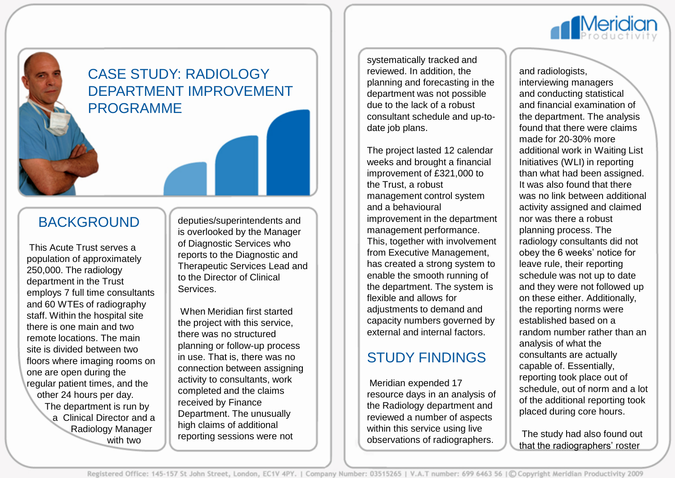

# CASE STUDY: RADIOLOGY DEPARTMENT IMPROVEMENT PROGRAMME

## BACKGROUND

This Acute Trust serves a population of approximately 250,000. The radiology department in the Trust employs 7 full time consultants and 60 WTEs of radiography staff. Within the hospital site there is one main and two remote locations. The main site is divided between two floors where imaging rooms on one are open during the regular patient times, and the other 24 hours per day. The department is run by a Clinical Director and a Radiology Manager with two

deputies/superintendents and is overlooked by the Manager of Diagnostic Services who reports to the Diagnostic and Therapeutic Services Lead and to the Director of Clinical Services.

When Meridian first started the project with this service, there was no structured planning or follow-up process in use. That is, there was no connection between assigning activity to consultants, work completed and the claims received by Finance Department. The unusually high claims of additional reporting sessions were not

systematically tracked and reviewed. In addition, the planning and forecasting in the department was not possible due to the lack of a robust consultant schedule and up-todate job plans.

The project lasted 12 calendar weeks and brought a financial improvement of £321,000 to the Trust, a robust management control system and a behavioural improvement in the department management performance. This, together with involvement from Executive Management, has created a strong system to enable the smooth running of the department. The system is flexible and allows for adjustments to demand and capacity numbers governed by external and internal factors.

## STUDY FINDINGS

Meridian expended 17 resource days in an analysis of the Radiology department and reviewed a number of aspects within this service using live observations of radiographers.

and radiologists, interviewing managers and conducting statistical and financial examination of the department. The analysis found that there were claims made for 20-30% more additional work in Waiting List Initiatives (WLI) in reporting than what had been assigned. It was also found that there was no link between additional activity assigned and claimed nor was there a robust planning process. The radiology consultants did not obey the 6 weeks' notice for leave rule, their reporting schedule was not up to date and they were not followed up on these either. Additionally, the reporting norms were established based on a random number rather than an analysis of what the consultants are actually capable of. Essentially, reporting took place out of schedule, out of norm and a lot of the additional reporting took placed during core hours.

The study had also found out that the radiographers' roster

Registered Office: 145-157 St John Street, London, EC1V 4PY. | Company Number: 03515265 | V.A.T number: 699 6463 56 | © Copyright Meridian Productivity 2009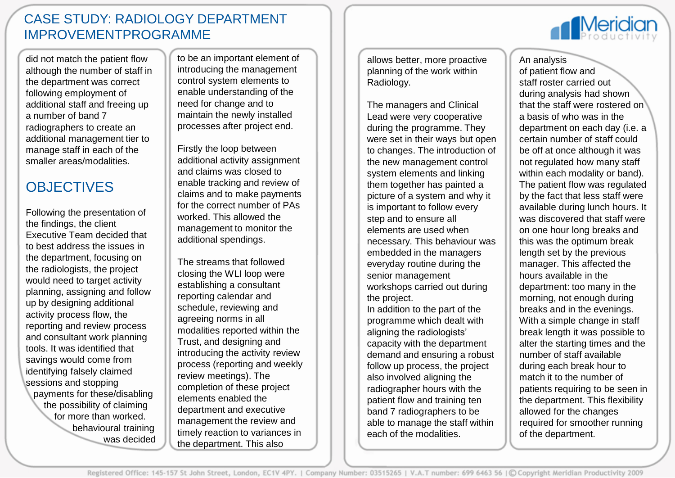#### CASE STUDY: RADIOLOGY DEPARTMENT IMPROVEMENTPROGRAMME

did not match the patient flow although the number of staff in the department was correct following employment of additional staff and freeing up a number of band 7 radiographers to create an additional management tier to manage staff in each of the smaller areas/modalities.

# **OBJECTIVES**

Following the presentation of the findings, the client Executive Team decided that to best address the issues in the department, focusing on the radiologists, the project would need to target activity planning, assigning and follow up by designing additional activity process flow, the reporting and review process and consultant work planning tools. It was identified that savings would come from identifying falsely claimed sessions and stopping payments for these/disabling the possibility of claiming for more than worked. behavioural training was decided to be an important element of introducing the management control system elements to enable understanding of the need for change and to maintain the newly installed processes after project end.

Firstly the loop between additional activity assignment and claims was closed to enable tracking and review of claims and to make payments for the correct number of PAs worked. This allowed the management to monitor the additional spendings.

The streams that followed closing the WLI loop were establishing a consultant reporting calendar and schedule, reviewing and agreeing norms in all modalities reported within the Trust, and designing and introducing the activity review process (reporting and weekly review meetings). The completion of these project elements enabled the department and executive management the review and timely reaction to variances in the department. This also

allows better, more proactive planning of the work within Radiology.

The managers and Clinical Lead were very cooperative during the programme. They were set in their ways but open to changes. The introduction of the new management control system elements and linking them together has painted a picture of a system and why it is important to follow every step and to ensure all elements are used when necessary. This behaviour was embedded in the managers everyday routine during the senior management workshops carried out during the project. In addition to the part of the programme which dealt with aligning the radiologists' capacity with the department demand and ensuring a robust follow up process, the project also involved aligning the radiographer hours with the patient flow and training ten band 7 radiographers to be able to manage the staff within each of the modalities.

**Meridian** 

An analysis

of patient flow and staff roster carried out during analysis had shown that the staff were rostered on a basis of who was in the department on each day (i.e. a certain number of staff could be off at once although it was not regulated how many staff within each modality or band). The patient flow was regulated by the fact that less staff were available during lunch hours. It was discovered that staff were on one hour long breaks and this was the optimum break length set by the previous manager. This affected the hours available in the department: too many in the morning, not enough during breaks and in the evenings. With a simple change in staff break length it was possible to alter the starting times and the number of staff available during each break hour to match it to the number of patients requiring to be seen in the department. This flexibility allowed for the changes required for smoother running of the department.